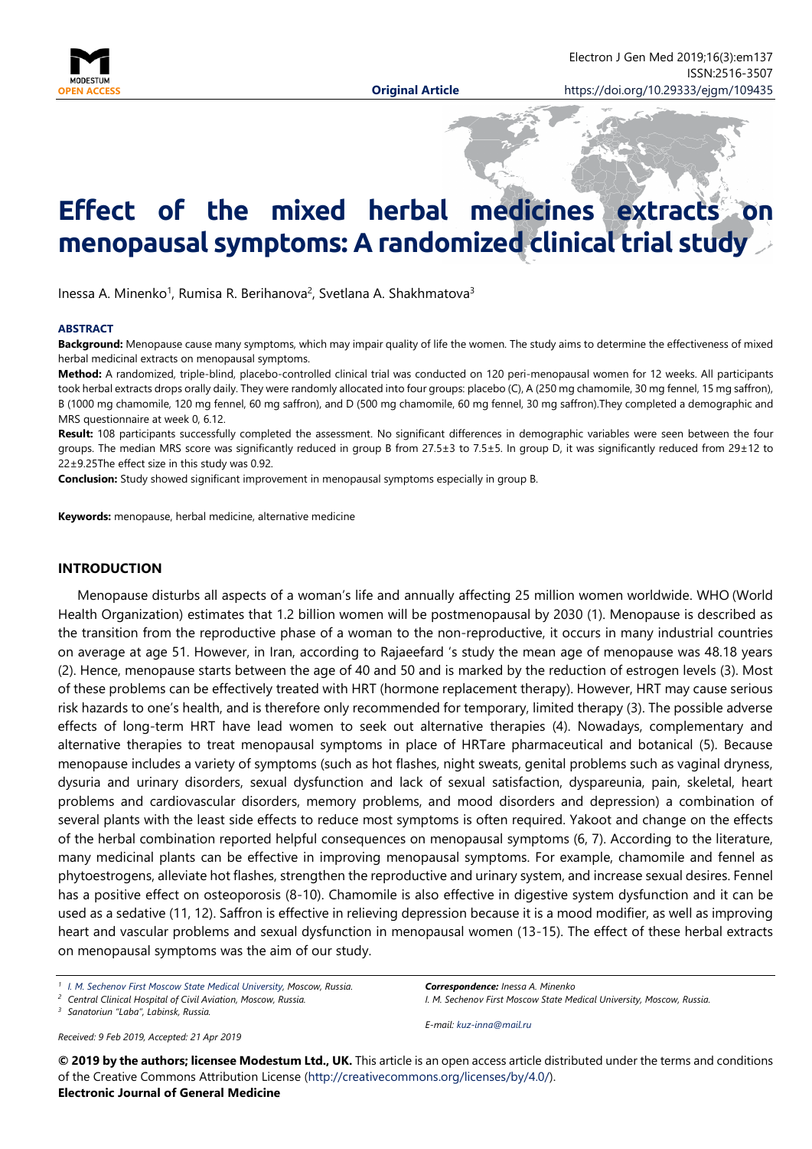

# **Effect of the mixed herbal medicines extracts on menopausal symptoms: A randomized clinical trial study**

Inessa A. Minenko<sup>1</sup>, Rumisa R. Berihanova<sup>2</sup>, Svetlana A. Shakhmatova<sup>3</sup>

#### **ABSTRACT**

**Background:** Menopause cause many symptoms, which may impair quality of life the women. The study aims to determine the effectiveness of mixed herbal medicinal extracts on menopausal symptoms.

**Method:** A randomized, triple-blind, placebo-controlled clinical trial was conducted on 120 peri-menopausal women for 12 weeks. All participants took herbal extracts drops orally daily. They were randomly allocated into four groups: placebo (C), A (250 mg chamomile, 30 mg fennel, 15 mg saffron), B (1000 mg chamomile, 120 mg fennel, 60 mg saffron), and D (500 mg chamomile, 60 mg fennel, 30 mg saffron).They completed a demographic and MRS questionnaire at week 0, 6.12.

**Result:** 108 participants successfully completed the assessment. No significant differences in demographic variables were seen between the four groups. The median MRS score was significantly reduced in group B from 27.5±3 to 7.5±5. In group D, it was significantly reduced from 29±12 to 22±9.25The effect size in this study was 0.92.

**Conclusion:** Study showed significant improvement in menopausal symptoms especially in group B.

**Keywords:** menopause, herbal medicine, alternative medicine

#### **INTRODUCTION**

Menopause disturbs all aspects of a woman's life and annually affecting 25 million women worldwide. WHO (World Health Organization) estimates that 1.2 billion women will be postmenopausal by 2030 (1). Menopause is described as the transition from the reproductive phase of a woman to the non-reproductive, it occurs in many industrial countries on average at age 51. However, in Iran, according to Rajaeefard 's study the mean age of menopause was 48.18 years (2). Hence, menopause starts between the age of 40 and 50 and is marked by the reduction of estrogen levels (3). Most of these problems can be effectively treated with HRT (hormone replacement therapy). However, HRT may cause serious risk hazards to one's health, and is therefore only recommended for temporary, limited therapy (3). The possible adverse effects of long-term HRT have lead women to seek out alternative therapies (4). Nowadays, complementary and alternative therapies to treat menopausal symptoms in place of HRTare pharmaceutical and botanical (5). Because menopause includes a variety of symptoms (such as hot flashes, night sweats, genital problems such as vaginal dryness, dysuria and urinary disorders, sexual dysfunction and lack of sexual satisfaction, dyspareunia, pain, skeletal, heart problems and cardiovascular disorders, memory problems, and mood disorders and depression) a combination of several plants with the least side effects to reduce most symptoms is often required. Yakoot and change on the effects of the herbal combination reported helpful consequences on menopausal symptoms (6, 7). According to the literature, many medicinal plants can be effective in improving menopausal symptoms. For example, chamomile and fennel as phytoestrogens, alleviate hot flashes, strengthen the reproductive and urinary system, and increase sexual desires. Fennel has a positive effect on osteoporosis (8-10). Chamomile is also effective in digestive system dysfunction and it can be used as a sedative (11, 12). Saffron is effective in relieving depression because it is a mood modifier, as well as improving heart and vascular problems and sexual dysfunction in menopausal women (13-15). The effect of these herbal extracts on menopausal symptoms was the aim of our study.

*<sup>3</sup> Sanatoriun "Laba", Labinsk, Russia.*

*Received: 9 Feb 2019, Accepted: 21 Apr 2019*

*Correspondence: Inessa A. Minenko I. M. Sechenov First Moscow State Medical University, Moscow, Russia.*

*E-mail: [kuz-inna@mail.ru](mailto:kuz-inna@mail.ru)*

**© 2019 by the authors; licensee Modestum Ltd., UK.** This article is an open access article distributed under the terms and conditions of the Creative Commons Attribution License [\(http://creativecommons.org/licenses/by/4.0/\)](http://creativecommons.org/licenses/by/4.0/).

#### **Electronic Journal of General Medicine**

*<sup>1</sup> [I. M. Sechenov First Moscow State Medical University,](https://elibrary.ru/org_items.asp?orgsid=162) Moscow, Russia.*

*<sup>2</sup> Central Clinical Hospital of Civil Aviation, Moscow, Russia.*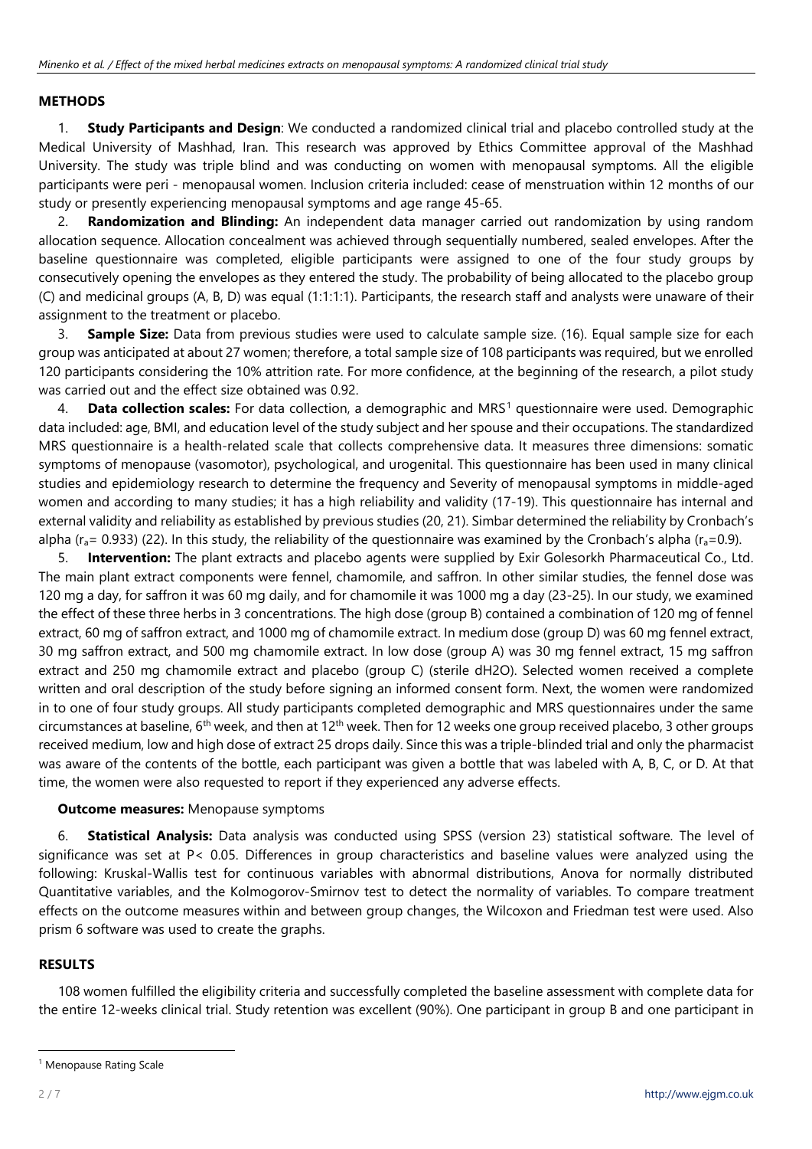#### **METHODS**

1. **Study Participants and Design**: We conducted a randomized clinical trial and placebo controlled study at the Medical University of Mashhad, Iran. This research was approved by Ethics Committee approval of the Mashhad University. The study was triple blind and was conducting on women with menopausal symptoms. All the eligible participants were peri - menopausal women. Inclusion criteria included: cease of menstruation within 12 months of our study or presently experiencing menopausal symptoms and age range 45-65.

2. **Randomization and Blinding:** An independent data manager carried out randomization by using random allocation sequence. Allocation concealment was achieved through sequentially numbered, sealed envelopes. After the baseline questionnaire was completed, eligible participants were assigned to one of the four study groups by consecutively opening the envelopes as they entered the study. The probability of being allocated to the placebo group (C) and medicinal groups (A, B, D) was equal (1:1:1:1). Participants, the research staff and analysts were unaware of their assignment to the treatment or placebo.

3. **Sample Size:** Data from previous studies were used to calculate sample size. (16). Equal sample size for each group was anticipated at about 27 women; therefore, a total sample size of 108 participants was required, but we enrolled 120 participants considering the 10% attrition rate. For more confidence, at the beginning of the research, a pilot study was carried out and the effect size obtained was 0.92.

4. **Data collection scales:** For data collection, a demographic and MRS[1](#page-1-0) questionnaire were used. Demographic data included: age, BMI, and education level of the study subject and her spouse and their occupations. The standardized MRS questionnaire is a health-related scale that collects comprehensive data. It measures three dimensions: somatic symptoms of menopause (vasomotor), psychological, and urogenital. This questionnaire has been used in many clinical studies and epidemiology research to determine the frequency and Severity of menopausal symptoms in middle-aged women and according to many studies; it has a high reliability and validity (17-19). This questionnaire has internal and external validity and reliability as established by previous studies (20, 21). Simbar determined the reliability by Cronbach's alpha ( $r_a$ = 0.933) (22). In this study, the reliability of the questionnaire was examined by the Cronbach's alpha ( $r_a$ =0.9).

5. **Intervention:** The plant extracts and placebo agents were supplied by Exir Golesorkh Pharmaceutical Co., Ltd. The main plant extract components were fennel, chamomile, and saffron. In other similar studies, the fennel dose was 120 mg a day, for saffron it was 60 mg daily, and for chamomile it was 1000 mg a day (23-25). In our study, we examined the effect of these three herbs in 3 concentrations. The high dose (group B) contained a combination of 120 mg of fennel extract, 60 mg of saffron extract, and 1000 mg of chamomile extract. In medium dose (group D) was 60 mg fennel extract, 30 mg saffron extract, and 500 mg chamomile extract. In low dose (group A) was 30 mg fennel extract, 15 mg saffron extract and 250 mg chamomile extract and placebo (group C) (sterile dH2O). Selected women received a complete written and oral description of the study before signing an informed consent form. Next, the women were randomized in to one of four study groups. All study participants completed demographic and MRS questionnaires under the same circumstances at baseline,  $6<sup>th</sup>$  week, and then at 12<sup>th</sup> week. Then for 12 weeks one group received placebo, 3 other groups received medium, low and high dose of extract 25 drops daily. Since this was a triple-blinded trial and only the pharmacist was aware of the contents of the bottle, each participant was given a bottle that was labeled with A, B, C, or D. At that time, the women were also requested to report if they experienced any adverse effects.

#### **Outcome measures:** Menopause symptoms

6. **Statistical Analysis:** Data analysis was conducted using SPSS (version 23) statistical software. The level of significance was set at P< 0.05. Differences in group characteristics and baseline values were analyzed using the following: Kruskal-Wallis test for continuous variables with abnormal distributions, Anova for normally distributed Quantitative variables, and the Kolmogorov-Smirnov test to detect the normality of variables. To compare treatment effects on the outcome measures within and between group changes, the Wilcoxon and Friedman test were used. Also prism 6 software was used to create the graphs.

#### **RESULTS**

108 women fulfilled the eligibility criteria and successfully completed the baseline assessment with complete data for the entire 12-weeks clinical trial. Study retention was excellent (90%). One participant in group B and one participant in

<span id="page-1-0"></span><sup>&</sup>lt;sup>1</sup> Menopause Rating Scale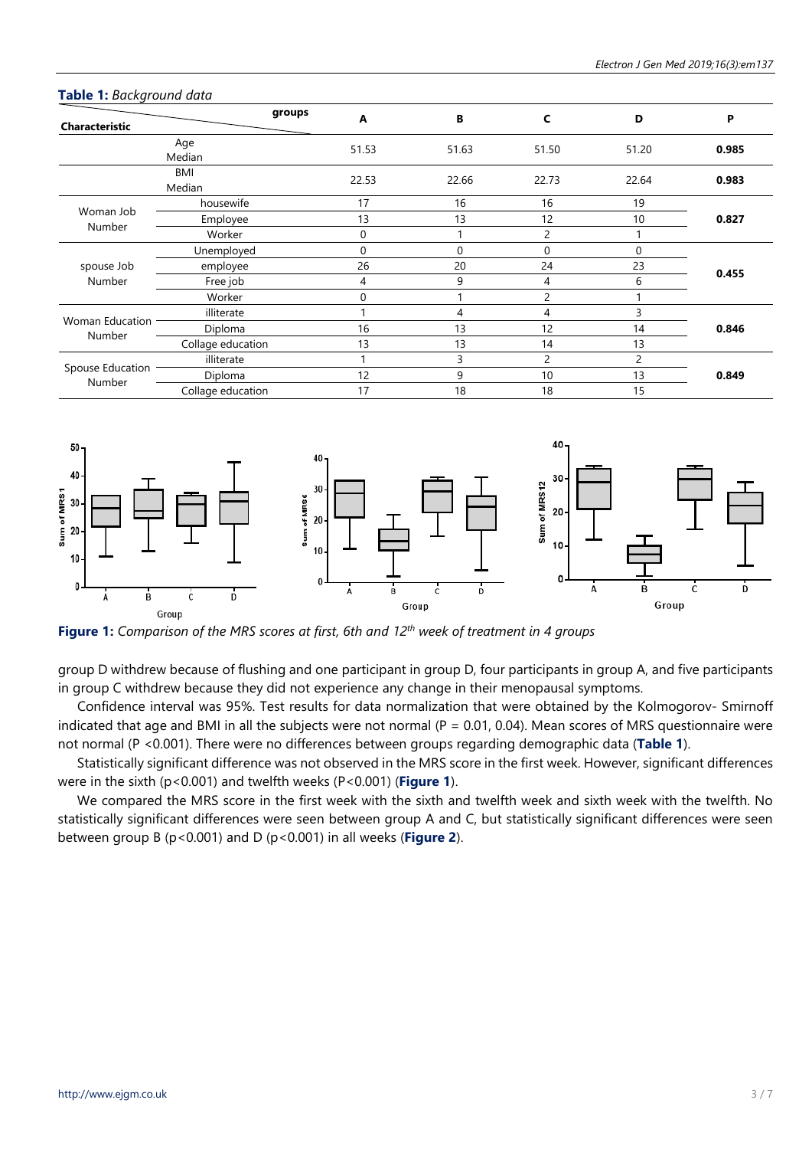| Characteristic                   |                   | groups<br>A | В           | C              | D     | P     |  |
|----------------------------------|-------------------|-------------|-------------|----------------|-------|-------|--|
|                                  | Age<br>Median     | 51.53       | 51.63       | 51.50          | 51.20 | 0.985 |  |
|                                  | BMI<br>Median     | 22.53       | 22.66       | 22.73          | 22.64 | 0.983 |  |
| Woman Job<br>Number              | housewife         | 17          | 16          | 16             | 19    | 0.827 |  |
|                                  | Employee          | 13          | 13          | 12             | 10    |       |  |
|                                  | Worker            | $\Omega$    |             | $\overline{c}$ |       |       |  |
| spouse Job<br>Number             | Unemployed        | $\Omega$    | $\mathbf 0$ | $\Omega$       | 0     | 0.455 |  |
|                                  | employee          | 26          | 20          | 24             | 23    |       |  |
|                                  | Free job          | 4           | 9           | 4              | 6     |       |  |
|                                  | Worker            | $\Omega$    |             | 2              |       |       |  |
| <b>Woman Education</b><br>Number | illiterate        |             | 4           | 4              | 3     |       |  |
|                                  | Diploma           | 16          | 13          | 12             | 14    | 0.846 |  |
|                                  | Collage education | 13          | 13          | 14             | 13    |       |  |
| Spouse Education<br>Number       | illiterate        |             | 3           | 2              | 2     |       |  |
|                                  | Diploma           | 12          | 9           | 10             | 13    | 0.849 |  |
|                                  | Collage education | 17          | 18          | 18             | 15    |       |  |

#### **Table 1:** *Background data*



**Figure 1:** *Comparison of the MRS scores at first, 6th and 12th week of treatment in 4 groups*

group D withdrew because of flushing and one participant in group D, four participants in group A, and five participants in group C withdrew because they did not experience any change in their menopausal symptoms.

Confidence interval was 95%. Test results for data normalization that were obtained by the Kolmogorov- Smirnoff indicated that age and BMI in all the subjects were not normal  $(P = 0.01, 0.04)$ . Mean scores of MRS questionnaire were not normal (P <0.001). There were no differences between groups regarding demographic data (**Table 1**).

Statistically significant difference was not observed in the MRS score in the first week. However, significant differences were in the sixth (p<0.001) and twelfth weeks (P<0.001) (**Figure 1**).

We compared the MRS score in the first week with the sixth and twelfth week and sixth week with the twelfth. No statistically significant differences were seen between group A and C, but statistically significant differences were seen between group B (p<0.001) and D (p<0.001) in all weeks (**Figure 2**).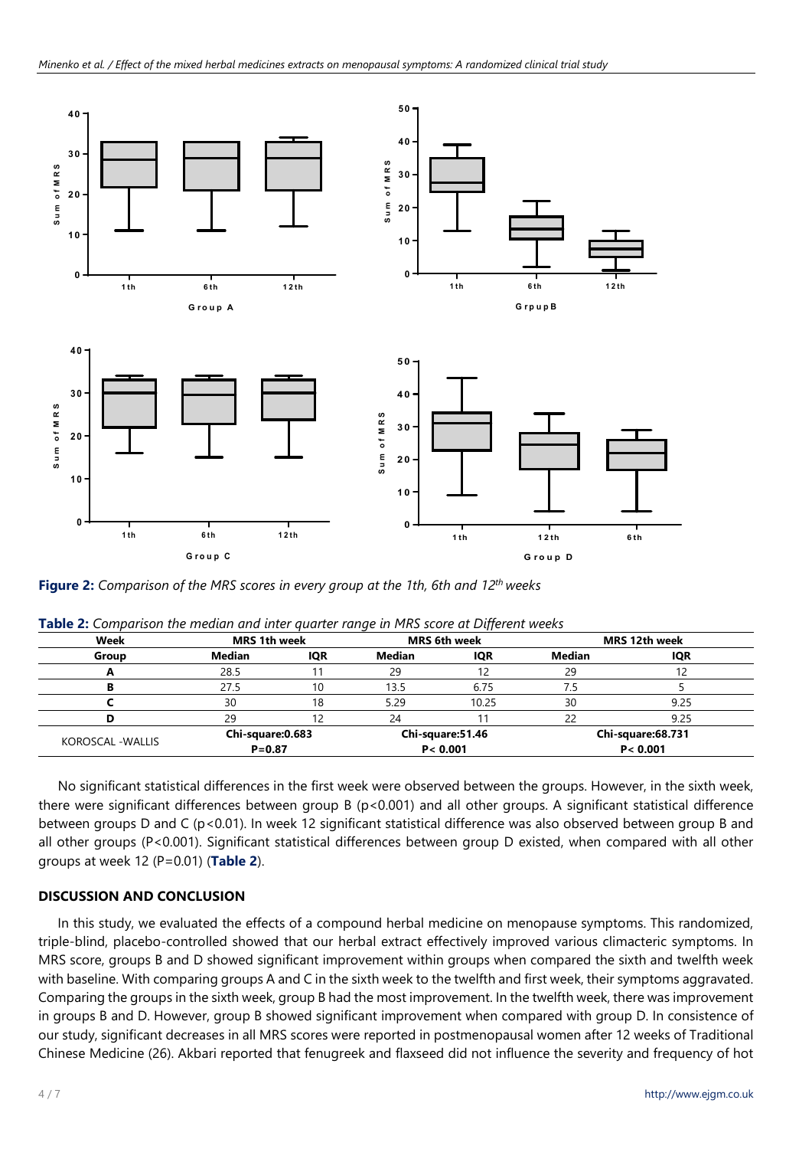

**Figure 2:** *Comparison of the MRS scores in every group at the 1th, 6th and 12th weeks*

| Week                     | <b>MRS</b> 1th week            |            | <b>MRS</b> 6th week           |            | <b>MRS 12th week</b>           |      |
|--------------------------|--------------------------------|------------|-------------------------------|------------|--------------------------------|------|
| Group                    | Median                         | <b>IQR</b> | Median                        | <b>IQR</b> | Median                         | IQR  |
|                          | 28.5                           |            | 29                            |            | 29                             |      |
|                          | 27.5                           | 10         | 13.5                          | 6.75       |                                |      |
|                          | 30                             | 18         | 5.29                          | 10.25      | 30                             | 9.25 |
|                          | 29                             |            | 24                            |            |                                | 9.25 |
| <b>KOROSCAL - WALLIS</b> | Chi-square:0.683<br>$P = 0.87$ |            | Chi-square:51.46<br>P < 0.001 |            | Chi-square:68.731<br>P < 0.001 |      |

**Table 2:** *Comparison the median and inter quarter range in MRS score at Different weeks*

No significant statistical differences in the first week were observed between the groups. However, in the sixth week, there were significant differences between group B (p<0.001) and all other groups. A significant statistical difference between groups D and C (p<0.01). In week 12 significant statistical difference was also observed between group B and all other groups (P<0.001). Significant statistical differences between group D existed, when compared with all other groups at week 12 (P=0.01) (**Table 2**).

## **DISCUSSION AND CONCLUSION**

In this study, we evaluated the effects of a compound herbal medicine on menopause symptoms. This randomized, triple-blind, placebo-controlled showed that our herbal extract effectively improved various climacteric symptoms. In MRS score, groups B and D showed significant improvement within groups when compared the sixth and twelfth week with baseline. With comparing groups A and C in the sixth week to the twelfth and first week, their symptoms aggravated. Comparing the groups in the sixth week, group B had the most improvement. In the twelfth week, there was improvement in groups B and D. However, group B showed significant improvement when compared with group D. In consistence of our study, significant decreases in all MRS scores were reported in postmenopausal women after 12 weeks of Traditional Chinese Medicine (26). Akbari reported that fenugreek and flaxseed did not influence the severity and frequency of hot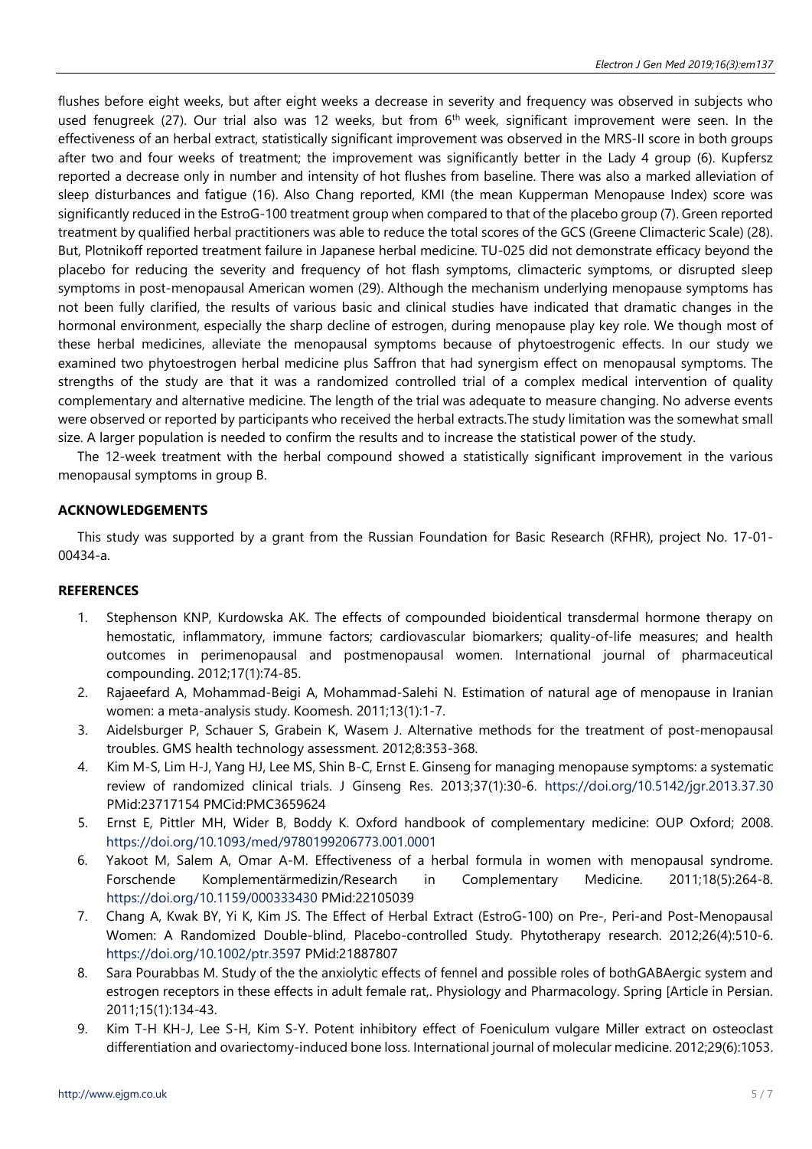flushes before eight weeks, but after eight weeks a decrease in severity and frequency was observed in subjects who used fenugreek (27). Our trial also was 12 weeks, but from  $6<sup>th</sup>$  week, significant improvement were seen. In the effectiveness of an herbal extract, statistically significant improvement was observed in the MRS-II score in both groups after two and four weeks of treatment; the improvement was significantly better in the Lady 4 group (6). Kupfersz reported a decrease only in number and intensity of hot flushes from baseline. There was also a marked alleviation of sleep disturbances and fatigue (16). Also Chang reported, KMI (the mean Kupperman Menopause Index) score was significantly reduced in the EstroG-100 treatment group when compared to that of the placebo group (7). Green reported treatment by qualified herbal practitioners was able to reduce the total scores of the GCS (Greene Climacteric Scale) (28). But, Plotnikoff reported treatment failure in Japanese herbal medicine. TU-025 did not demonstrate efficacy beyond the placebo for reducing the severity and frequency of hot flash symptoms, climacteric symptoms, or disrupted sleep symptoms in post-menopausal American women (29). Although the mechanism underlying menopause symptoms has not been fully clarified, the results of various basic and clinical studies have indicated that dramatic changes in the hormonal environment, especially the sharp decline of estrogen, during menopause play key role. We though most of these herbal medicines, alleviate the menopausal symptoms because of phytoestrogenic effects. In our study we examined two phytoestrogen herbal medicine plus Saffron that had synergism effect on menopausal symptoms. The strengths of the study are that it was a randomized controlled trial of a complex medical intervention of quality complementary and alternative medicine. The length of the trial was adequate to measure changing. No adverse events were observed or reported by participants who received the herbal extracts.The study limitation was the somewhat small size. A larger population is needed to confirm the results and to increase the statistical power of the study.

The 12-week treatment with the herbal compound showed a statistically significant improvement in the various menopausal symptoms in group B.

### **ACKNOWLEDGEMENTS**

This study was supported by a grant from the Russian Foundation for Basic Research (RFHR), project No. 17-01- 00434-a.

### **REFERENCES**

- 1. Stephenson KNP, Kurdowska AK. The effects of compounded bioidentical transdermal hormone therapy on hemostatic, inflammatory, immune factors; cardiovascular biomarkers; quality-of-life measures; and health outcomes in perimenopausal and postmenopausal women. International journal of pharmaceutical compounding. 2012;17(1):74-85.
- 2. Rajaeefard A, Mohammad-Beigi A, Mohammad-Salehi N. Estimation of natural age of menopause in Iranian women: a meta-analysis study. Koomesh. 2011;13(1):1-7.
- 3. Aidelsburger P, Schauer S, Grabein K, Wasem J. Alternative methods for the treatment of post-menopausal troubles. GMS health technology assessment. 2012;8:353-368.
- 4. Kim M-S, Lim H-J, Yang HJ, Lee MS, Shin B-C, Ernst E. Ginseng for managing menopause symptoms: a systematic review of randomized clinical trials. J Ginseng Res. 2013;37(1):30-6. <https://doi.org/10.5142/jgr.2013.37.30> PMid:23717154 PMCid:PMC3659624
- 5. Ernst E, Pittler MH, Wider B, Boddy K. Oxford handbook of complementary medicine: OUP Oxford; 2008. <https://doi.org/10.1093/med/9780199206773.001.0001>
- 6. Yakoot M, Salem A, Omar A-M. Effectiveness of a herbal formula in women with menopausal syndrome. Forschende Komplementärmedizin/Research in Complementary Medicine. 2011;18(5):264-8. <https://doi.org/10.1159/000333430> PMid:22105039
- 7. Chang A, Kwak BY, Yi K, Kim JS. The Effect of Herbal Extract (EstroG-100) on Pre-, Peri-and Post-Menopausal Women: A Randomized Double-blind, Placebo-controlled Study. Phytotherapy research. 2012;26(4):510-6. <https://doi.org/10.1002/ptr.3597> PMid:21887807
- 8. Sara Pourabbas M. Study of the the anxiolytic effects of fennel and possible roles of bothGABAergic system and estrogen receptors in these effects in adult female rat,. Physiology and Pharmacology. Spring [Article in Persian. 2011;15(1):134-43.
- 9. Kim T-H KH-J, Lee S-H, Kim S-Y. Potent inhibitory effect of Foeniculum vulgare Miller extract on osteoclast differentiation and ovariectomy-induced bone loss. International journal of molecular medicine. 2012;29(6):1053.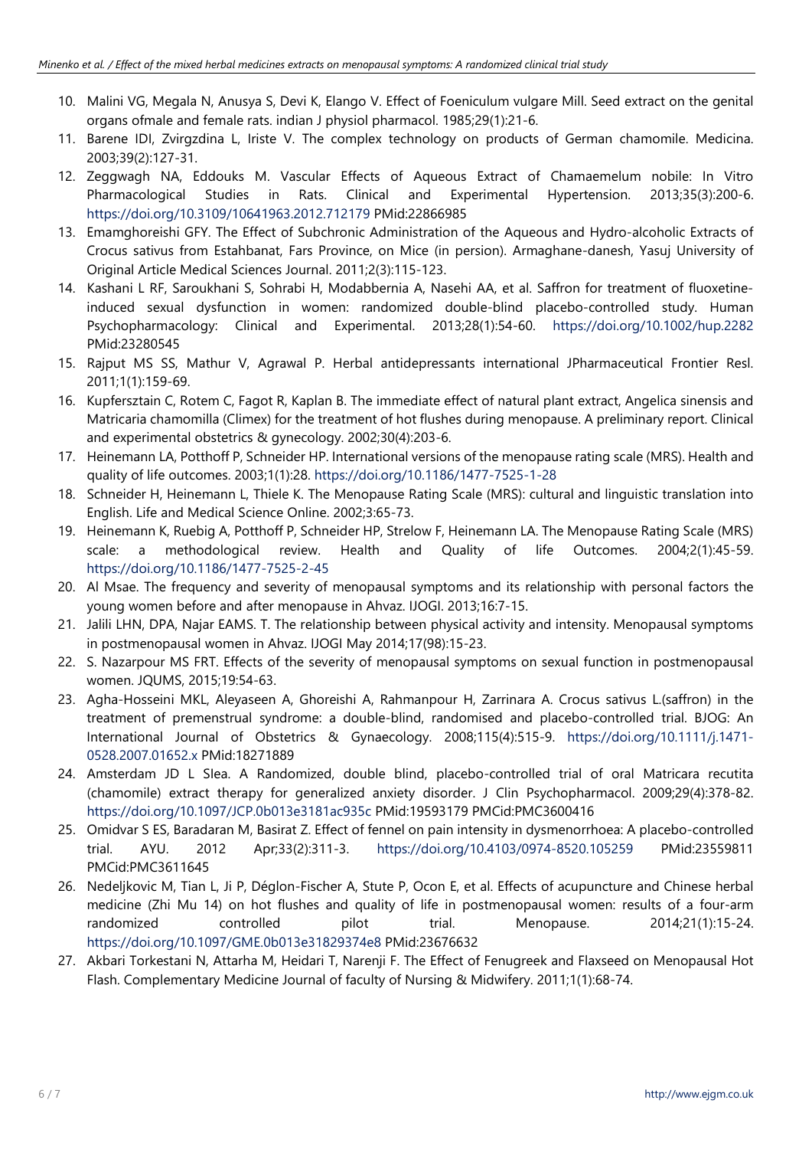- 10. Malini VG, Megala N, Anusya S, Devi K, Elango V. Effect of Foeniculum vulgare Mill. Seed extract on the genital organs ofmale and female rats. indian J physiol pharmacol. 1985;29(1):21-6.
- 11. Barene IDI, Zvirgzdina L, Iriste V. The complex technology on products of German chamomile. Medicina. 2003;39(2):127-31.
- 12. Zeggwagh NA, Eddouks M. Vascular Effects of Aqueous Extract of Chamaemelum nobile: In Vitro Pharmacological Studies in Rats. Clinical and Experimental Hypertension. 2013;35(3):200-6. <https://doi.org/10.3109/10641963.2012.712179> PMid:22866985
- 13. Emamghoreishi GFY. The Effect of Subchronic Administration of the Aqueous and Hydro-alcoholic Extracts of Crocus sativus from Estahbanat, Fars Province, on Mice (in persion). Armaghane-danesh, Yasuj University of Original Article Medical Sciences Journal. 2011;2(3):115-123.
- 14. Kashani L RF, Saroukhani S, Sohrabi H, Modabbernia A, Nasehi AA, et al. Saffron for treatment of fluoxetineinduced sexual dysfunction in women: randomized double-blind placebo-controlled study. Human Psychopharmacology: Clinical and Experimental. 2013;28(1):54-60. <https://doi.org/10.1002/hup.2282> PMid:23280545
- 15. Rajput MS SS, Mathur V, Agrawal P. Herbal antidepressants international JPharmaceutical Frontier Resl. 2011;1(1):159-69.
- 16. Kupfersztain C, Rotem C, Fagot R, Kaplan B. The immediate effect of natural plant extract, Angelica sinensis and Matricaria chamomilla (Climex) for the treatment of hot flushes during menopause. A preliminary report. Clinical and experimental obstetrics & gynecology. 2002;30(4):203-6.
- 17. Heinemann LA, Potthoff P, Schneider HP. International versions of the menopause rating scale (MRS). Health and quality of life outcomes. 2003;1(1):28. <https://doi.org/10.1186/1477-7525-1-28>
- 18. Schneider H, Heinemann L, Thiele K. The Menopause Rating Scale (MRS): cultural and linguistic translation into English. Life and Medical Science Online. 2002;3:65-73.
- 19. Heinemann K, Ruebig A, Potthoff P, Schneider HP, Strelow F, Heinemann LA. The Menopause Rating Scale (MRS) scale: a methodological review. Health and Quality of life Outcomes. 2004;2(1):45-59. <https://doi.org/10.1186/1477-7525-2-45>
- 20. Al Msae. The frequency and severity of menopausal symptoms and its relationship with personal factors the young women before and after menopause in Ahvaz. IJOGI. 2013;16:7-15.
- 21. Jalili LHN, DPA, Najar EAMS. T. The relationship between physical activity and intensity. Menopausal symptoms in postmenopausal women in Ahvaz. IJOGI May 2014;17(98):15-23.
- 22. S. Nazarpour MS FRT. Effects of the severity of menopausal symptoms on sexual function in postmenopausal women. JQUMS, 2015;19:54-63.
- 23. Agha-Hosseini MKL, Aleyaseen A, Ghoreishi A, Rahmanpour H, Zarrinara A. Crocus sativus L.(saffron) in the treatment of premenstrual syndrome: a double-blind, randomised and placebo-controlled trial. BJOG: An International Journal of Obstetrics & Gynaecology. 2008;115(4):515-9. [https://doi.org/10.1111/j.1471-](https://doi.org/10.1111/j.1471-0528.2007.01652.x) [0528.2007.01652.x](https://doi.org/10.1111/j.1471-0528.2007.01652.x) PMid:18271889
- 24. Amsterdam JD L SIea. A Randomized, double blind, placebo-controlled trial of oral Matricara recutita (chamomile) extract therapy for generalized anxiety disorder. J Clin Psychopharmacol. 2009;29(4):378-82. <https://doi.org/10.1097/JCP.0b013e3181ac935c> PMid:19593179 PMCid:PMC3600416
- 25. Omidvar S ES, Baradaran M, Basirat Z. Effect of fennel on pain intensity in dysmenorrhoea: A placebo-controlled trial. AYU. 2012 Apr;33(2):311-3. <https://doi.org/10.4103/0974-8520.105259> PMid:23559811 PMCid:PMC3611645
- 26. Nedeljkovic M, Tian L, Ji P, Déglon-Fischer A, Stute P, Ocon E, et al. Effects of acupuncture and Chinese herbal medicine (Zhi Mu 14) on hot flushes and quality of life in postmenopausal women: results of a four-arm randomized controlled pilot trial. Menopause. 2014;21(1):15-24. <https://doi.org/10.1097/GME.0b013e31829374e8> PMid:23676632
- 27. Akbari Torkestani N, Attarha M, Heidari T, Narenji F. The Effect of Fenugreek and Flaxseed on Menopausal Hot Flash. Complementary Medicine Journal of faculty of Nursing & Midwifery. 2011;1(1):68-74.